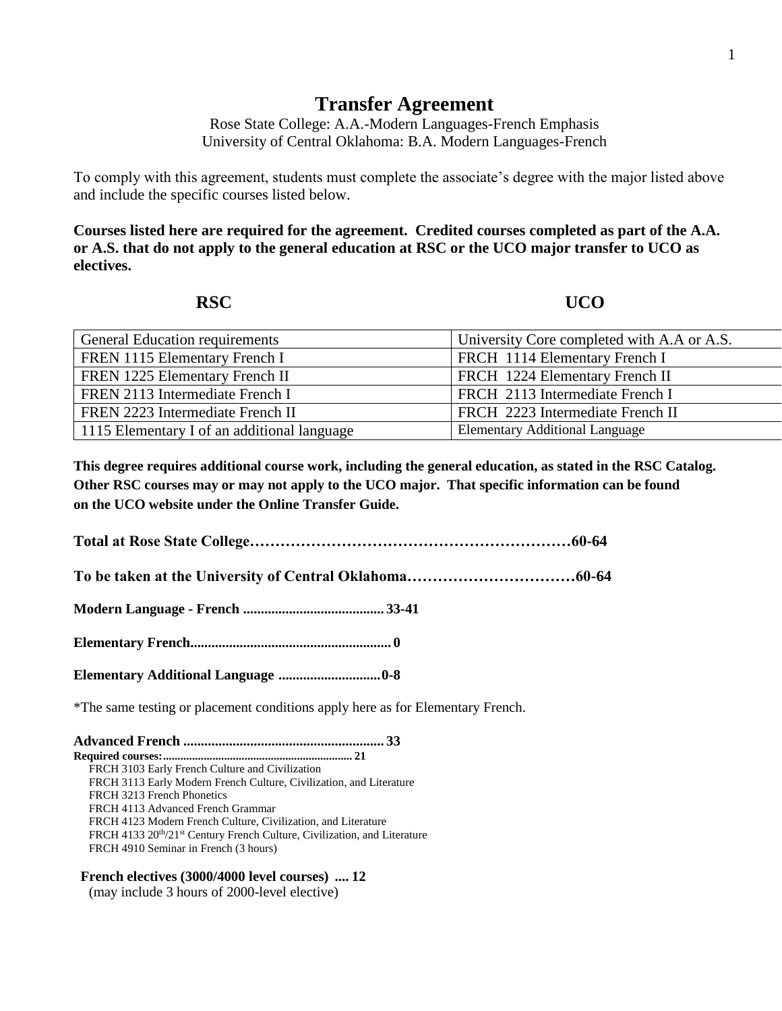### 1

# **Transfer Agreement**

Rose State College: A.A.-Modern Languages-French Emphasis University of Central Oklahoma: B.A. Modern Languages-French

To comply with this agreement, students must complete the associate's degree with the major listed above and include the specific courses listed below.

**Courses listed here are required for the agreement. Credited courses completed as part of the A.A. or A.S. that do not apply to the general education at RSC or the UCO major transfer to UCO as electives.** 

## **RSC UCO**

| General Education requirements              | University Core completed with A.A or A.S. |
|---------------------------------------------|--------------------------------------------|
| FREN 1115 Elementary French I               | FRCH 1114 Elementary French I              |
| FREN 1225 Elementary French II              | FRCH 1224 Elementary French II             |
| FREN 2113 Intermediate French I             | FRCH 2113 Intermediate French I            |
| FREN 2223 Intermediate French II            | FRCH 2223 Intermediate French II           |
| 1115 Elementary I of an additional language | <b>Elementary Additional Language</b>      |

**This degree requires additional course work, including the general education, as stated in the RSC Catalog. Other RSC courses may or may not apply to the UCO major. That specific information can be found on the UCO website under the Online Transfer Guide.**

**Total at Rose State College………………………………………………………60-64**

**To be taken at the University of Central Oklahoma……………………………60-64**

**Modern Language - French ........................................ 33-41**

**Elementary French......................................................... 0**

**Elementary Additional Language .............................0-8**

\*The same testing or placement conditions apply here as for Elementary French.

**Advanced French ......................................................... 33 Required courses:................................................................. 21** FRCH 3103 Early French Culture and Civilization FRCH 3113 Early Modern French Culture, Civilization, and Literature FRCH 3213 French Phonetics FRCH 4113 Advanced French Grammar FRCH 4123 Modern French Culture, Civilization, and Literature FRCH 4133 20<sup>th</sup>/21<sup>st</sup> Century French Culture, Civilization, and Literature FRCH 4910 Seminar in French (3 hours)

### **French electives (3000/4000 level courses) .... 12**

(may include 3 hours of 2000-level elective)